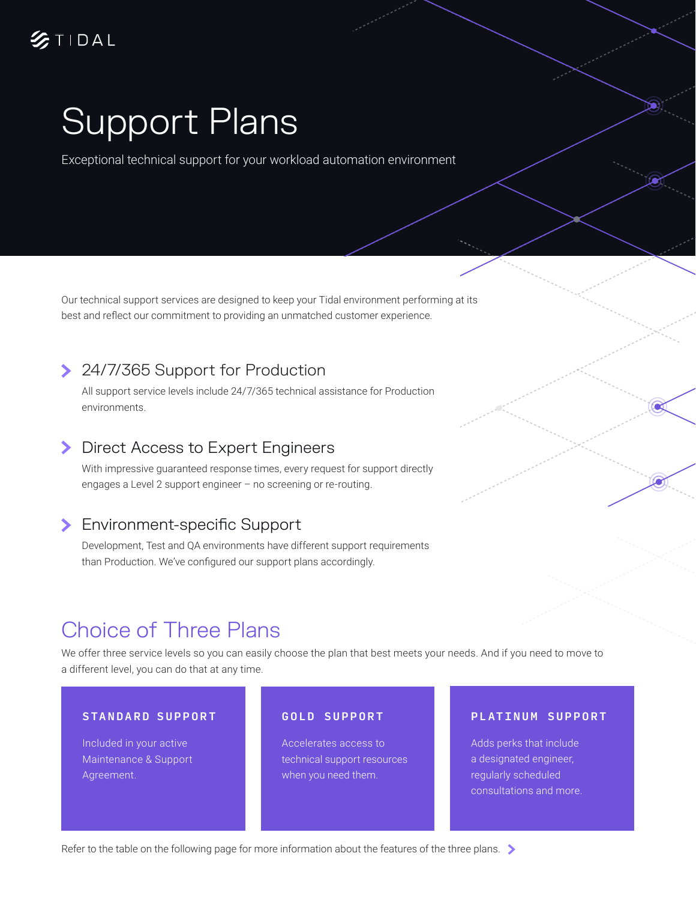# Support Plans

Exceptional technical support for your workload automation environment

Our technical support services are designed to keep your Tidal environment performing at its best and reflect our commitment to providing an unmatched customer experience.

# > 24/7/365 Support for Production

All support service levels include 24/7/365 technical assistance for Production environments.

### **>** Direct Access to Expert Engineers

With impressive guaranteed response times, every request for support directly engages a Level 2 support engineer – no screening or re-routing.

## **Environment-specific Support**

Development, Test and QA environments have different support requirements than Production. We've configured our support plans accordingly.

# Choice of Three Plans

We offer three service levels so you can easily choose the plan that best meets your needs. And if you need to move to a different level, you can do that at any time.

#### STANDARD SUPPORT

Included in your active Maintenance & Support Agreement.

### GOLD SUPPORT

Accelerates access to technical support resources when you need them.

### PLATINUM SUPPORT

Adds perks that include a designated engineer, regularly scheduled consultations and more.

Refer to the table on the following page for more information about the features of the three plans.